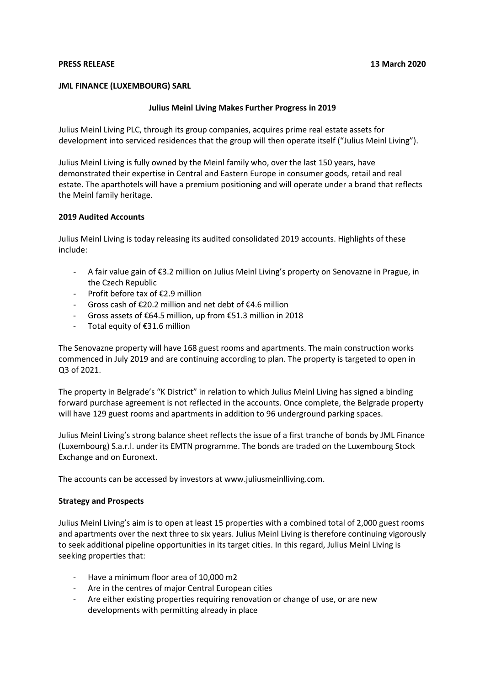# **PRESS RELEASE 13 March 2020**

# **JML FINANCE (LUXEMBOURG) SARL**

## **Julius Meinl Living Makes Further Progress in 2019**

Julius Meinl Living PLC, through its group companies, acquires prime real estate assets for development into serviced residences that the group will then operate itself ("Julius Meinl Living").

Julius Meinl Living is fully owned by the Meinl family who, over the last 150 years, have demonstrated their expertise in Central and Eastern Europe in consumer goods, retail and real estate. The aparthotels will have a premium positioning and will operate under a brand that reflects the Meinl family heritage.

### **2019 Audited Accounts**

Julius Meinl Living is today releasing its audited consolidated 2019 accounts. Highlights of these include:

- A fair value gain of €3.2 million on Julius Meinl Living's property on Senovazne in Prague, in the Czech Republic
- Profit before tax of €2.9 million
- Gross cash of €20.2 million and net debt of €4.6 million
- Gross assets of €64.5 million, up from €51.3 million in 2018
- Total equity of €31.6 million

The Senovazne property will have 168 guest rooms and apartments. The main construction works commenced in July 2019 and are continuing according to plan. The property is targeted to open in Q3 of 2021.

The property in Belgrade's "K District" in relation to which Julius Meinl Living has signed a binding forward purchase agreement is not reflected in the accounts. Once complete, the Belgrade property will have 129 guest rooms and apartments in addition to 96 underground parking spaces.

Julius Meinl Living's strong balance sheet reflects the issue of a first tranche of bonds by JML Finance (Luxembourg) S.a.r.l. under its EMTN programme. The bonds are traded on the Luxembourg Stock Exchange and on Euronext.

The accounts can be accessed by investors at www.juliusmeinlliving.com.

#### **Strategy and Prospects**

Julius Meinl Living's aim is to open at least 15 properties with a combined total of 2,000 guest rooms and apartments over the next three to six years. Julius Meinl Living is therefore continuing vigorously to seek additional pipeline opportunities in its target cities. In this regard, Julius Meinl Living is seeking properties that:

- Have a minimum floor area of 10,000 m2
- Are in the centres of major Central European cities
- Are either existing properties requiring renovation or change of use, or are new developments with permitting already in place